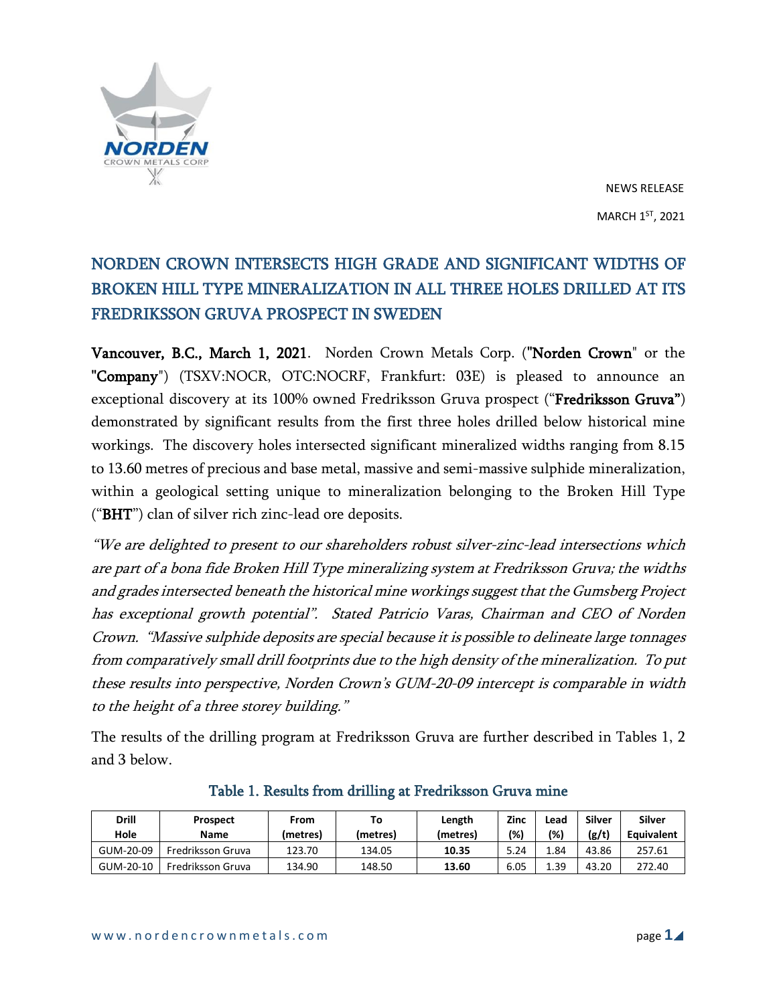

# NORDEN CROWN INTERSECTS HIGH GRADE AND SIGNIFICANT WIDTHS OF BROKEN HILL TYPE MINERALIZATION IN ALL THREE HOLES DRILLED AT ITS FREDRIKSSON GRUVA PROSPECT IN SWEDEN

Vancouver, B.C., March 1, 2021. Norden Crown Metals Corp. ("Norden Crown" or the "Company") (TSXV:NOCR, OTC:NOCRF, Frankfurt: 03E) is pleased to announce an exceptional discovery at its 100% owned Fredriksson Gruva prospect ("Fredriksson Gruva") demonstrated by significant results from the first three holes drilled below historical mine workings. The discovery holes intersected significant mineralized widths ranging from 8.15 to 13.60 metres of precious and base metal, massive and semi-massive sulphide mineralization, within a geological setting unique to mineralization belonging to the Broken Hill Type ("BHT") clan of silver rich zinc-lead ore deposits.

"We are delighted to present to our shareholders robust silver-zinc-lead intersections which are part of <sup>a</sup> bona fide Broken Hill Type mineralizing system at Fredriksson Gruva; the widths and grades intersected beneath the historical mine workings suggest that the Gumsberg Project has exceptional growth potential". Stated Patricio Varas, Chairman and CEO of Norden Crown. "Massive sulphide deposits are special because it is possible to delineate large tonnages from comparatively small drill footprints due to the high density of the mineralization. To put these results into perspective, Norden Crown's GUM-20-09 intercept is comparable in width to the height of <sup>a</sup> three storey building."

The results of the drilling program at Fredriksson Gruva are further described in Tables 1, 2 and 3 below.

| <b>Drill</b><br>Hole | <b>Prospect</b><br><b>Name</b> | From               | Τo                 | Length            | Zinc<br>(%) | Lead<br>(%) | Silver         | <b>Silver</b>               |
|----------------------|--------------------------------|--------------------|--------------------|-------------------|-------------|-------------|----------------|-----------------------------|
| GUM-20-09            | Fredriksson Gruva              | (metres)<br>123.70 | (metres)<br>134.05 | (metres)<br>10.35 | 5.24        | 1.84        | (g/t)<br>43.86 | <b>Equivalent</b><br>257.61 |
| GUM-20-10            | Fredriksson Gruva              | 134.90             | 148.50             | 13.60             | 6.05        | 1.39        | 43.20          | 272.40                      |

## Table 1. Results from drilling at Fredriksson Gruva mine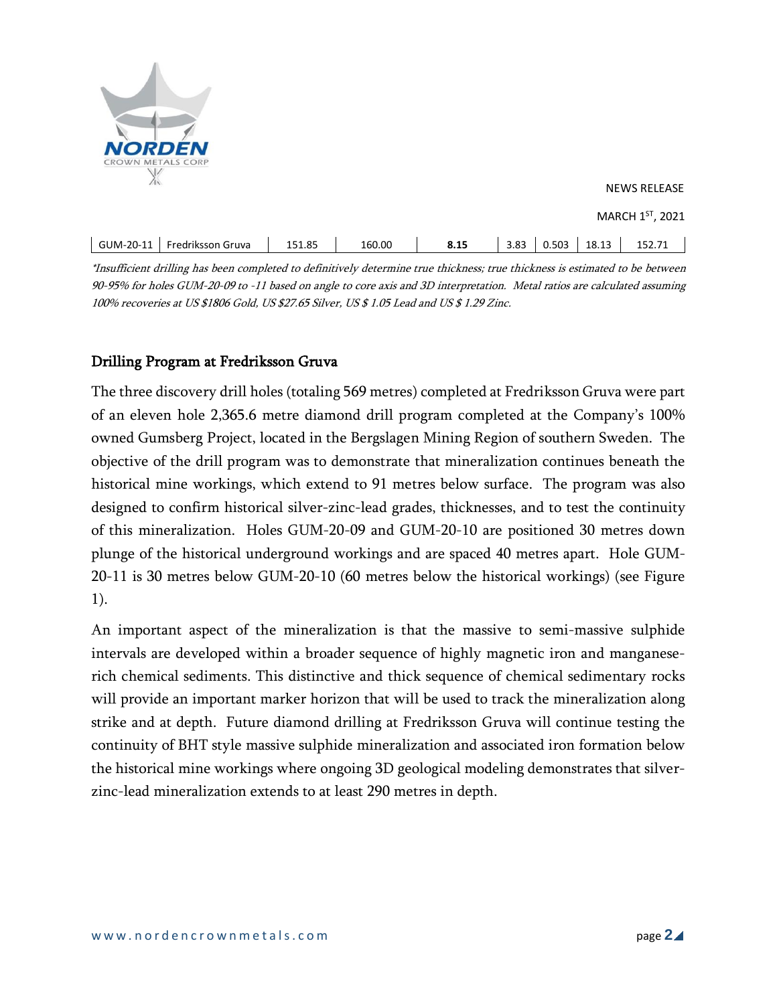

| GUM-20-11 | Fredriksson Gruva | <b>Q5</b><br>---<br>151.85<br>____ | 160.00<br>. | 8.15<br>__ | 3.83<br>___ | 0.503 | רי הו<br>د1.04<br>____ | $- - - -$<br>72.IJ |
|-----------|-------------------|------------------------------------|-------------|------------|-------------|-------|------------------------|--------------------|
|           |                   |                                    |             |            |             |       |                        |                    |

\*Insufficient drilling has been completed to definitively determine true thickness; true thickness is estimated to be between 90-95% for holes GUM-20-09 to -11 based on angle to core axis and 3D interpretation. Metal ratios are calculated assuming 100% recoveries at US \$1806 Gold, US \$27.65 Silver, US \$ 1.05 Lead and US \$ 1.29 Zinc.

# Drilling Program at Fredriksson Gruva

The three discovery drill holes (totaling 569 metres) completed at Fredriksson Gruva were part of an eleven hole 2,365.6 metre diamond drill program completed at the Company's 100% owned Gumsberg Project, located in the Bergslagen Mining Region of southern Sweden. The objective of the drill program was to demonstrate that mineralization continues beneath the historical mine workings, which extend to 91 metres below surface. The program was also designed to confirm historical silver-zinc-lead grades, thicknesses, and to test the continuity of this mineralization. Holes GUM-20-09 and GUM-20-10 are positioned 30 metres down plunge of the historical underground workings and are spaced 40 metres apart. Hole GUM-20-11 is 30 metres below GUM-20-10 (60 metres below the historical workings) (see Figure 1).

An important aspect of the mineralization is that the massive to semi-massive sulphide intervals are developed within a broader sequence of highly magnetic iron and manganeserich chemical sediments. This distinctive and thick sequence of chemical sedimentary rocks will provide an important marker horizon that will be used to track the mineralization along strike and at depth. Future diamond drilling at Fredriksson Gruva will continue testing the continuity of BHT style massive sulphide mineralization and associated iron formation below the historical mine workings where ongoing 3D geological modeling demonstrates that silverzinc-lead mineralization extends to at least 290 metres in depth.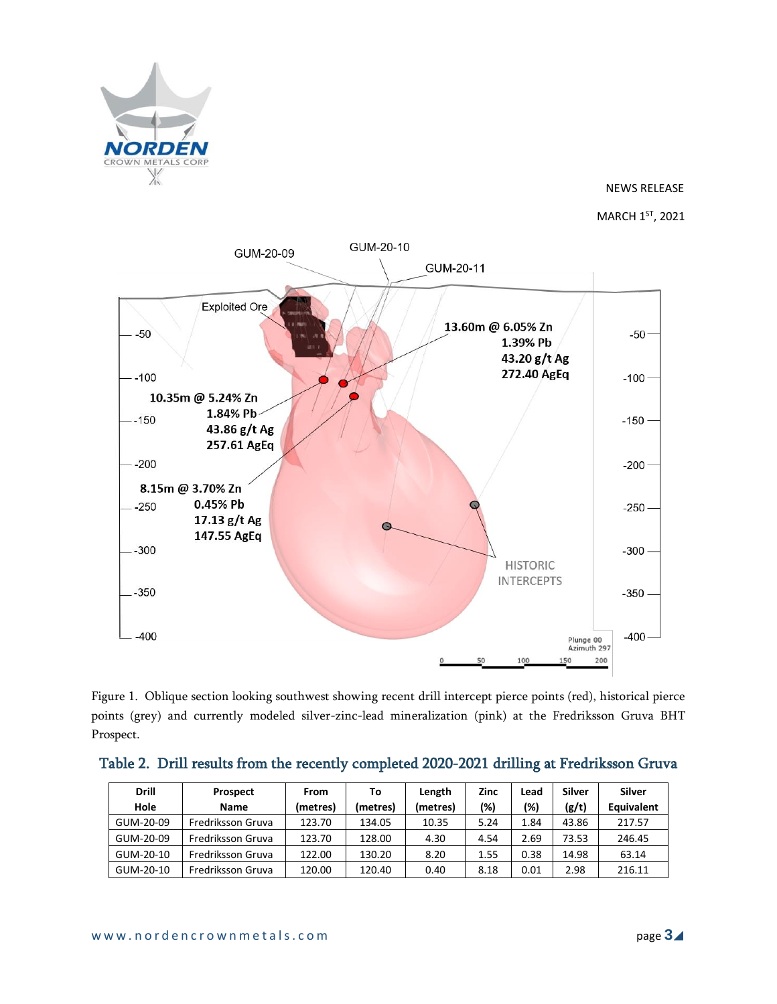

MARCH 1<sup>ST</sup>, 2021



Figure 1. Oblique section looking southwest showing recent drill intercept pierce points (red), historical pierce points (grey) and currently modeled silver-zinc-lead mineralization (pink) at the Fredriksson Gruva BHT Prospect.

|  |  |  |  |  | Table 2. Drill results from the recently completed 2020-2021 drilling at Fredriksson Gruva |  |
|--|--|--|--|--|--------------------------------------------------------------------------------------------|--|
|--|--|--|--|--|--------------------------------------------------------------------------------------------|--|

| <b>Drill</b><br>Hole | <b>Prospect</b><br><b>Name</b> | From<br>(metres) | To<br>(metres) | Length<br>(metres) | Zinc<br>(%) | Lead<br>(%) | <b>Silver</b><br>(g/t) | Silver<br><b>Equivalent</b> |
|----------------------|--------------------------------|------------------|----------------|--------------------|-------------|-------------|------------------------|-----------------------------|
| GUM-20-09            | Fredriksson Gruva              | 123.70           | 134.05         | 10.35              | 5.24        | 1.84        | 43.86                  | 217.57                      |
| GUM-20-09            | Fredriksson Gruva              | 123.70           | 128.00         | 4.30               | 4.54        | 2.69        | 73.53                  | 246.45                      |
| GUM-20-10            | Fredriksson Gruva              | 122.00           | 130.20         | 8.20               | 1.55        | 0.38        | 14.98                  | 63.14                       |
| GUM-20-10            | Fredriksson Gruva              | 120.00           | 120.40         | 0.40               | 8.18        | 0.01        | 2.98                   | 216.11                      |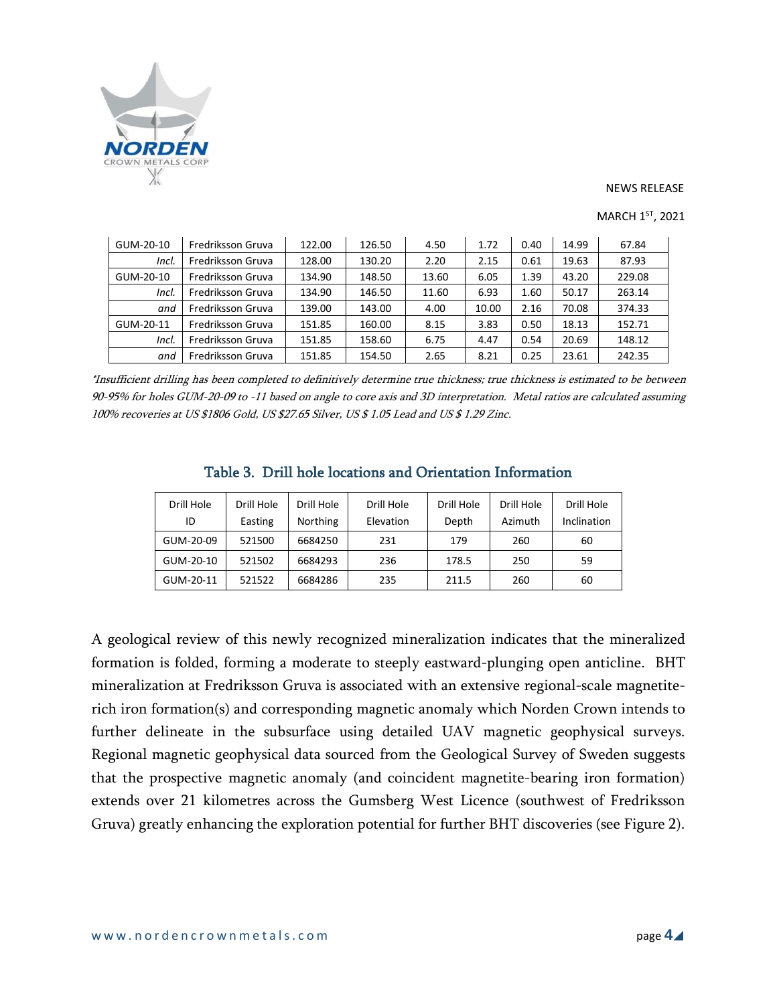

| GUM-20-10 | Fredriksson Gruva | 122.00 | 126.50 | 4.50  | 1.72  | 0.40 | 14.99 | 67.84  |
|-----------|-------------------|--------|--------|-------|-------|------|-------|--------|
| Incl.     | Fredriksson Gruva | 128.00 | 130.20 | 2.20  | 2.15  | 0.61 | 19.63 | 87.93  |
| GUM-20-10 | Fredriksson Gruva | 134.90 | 148.50 | 13.60 | 6.05  | 1.39 | 43.20 | 229.08 |
| Incl.     | Fredriksson Gruva | 134.90 | 146.50 | 11.60 | 6.93  | 1.60 | 50.17 | 263.14 |
| and       | Fredriksson Gruva | 139.00 | 143.00 | 4.00  | 10.00 | 2.16 | 70.08 | 374.33 |
| GUM-20-11 | Fredriksson Gruva | 151.85 | 160.00 | 8.15  | 3.83  | 0.50 | 18.13 | 152.71 |
| Incl.     | Fredriksson Gruva | 151.85 | 158.60 | 6.75  | 4.47  | 0.54 | 20.69 | 148.12 |
| and       | Fredriksson Gruva | 151.85 | 154.50 | 2.65  | 8.21  | 0.25 | 23.61 | 242.35 |

MARCH 1<sup>ST</sup>, 2021

\*Insufficient drilling has been completed to definitively determine true thickness; true thickness is estimated to be between 90-95% for holes GUM-20-09 to -11 based on angle to core axis and 3D interpretation. Metal ratios are calculated assuming 100% recoveries at US \$1806 Gold, US \$27.65 Silver, US \$ 1.05 Lead and US \$ 1.29 Zinc.

| Table 3. Drill hole locations and Orientation Information |  |
|-----------------------------------------------------------|--|
|-----------------------------------------------------------|--|

| Drill Hole<br>ID | Drill Hole<br>Easting | Drill Hole<br><b>Northing</b> | Drill Hole<br>Elevation | Drill Hole<br>Depth | Drill Hole<br>Azimuth | Drill Hole<br>Inclination |
|------------------|-----------------------|-------------------------------|-------------------------|---------------------|-----------------------|---------------------------|
| GUM-20-09        | 521500                | 6684250                       | 231                     | 179                 | 260                   | 60                        |
| GUM-20-10        | 521502                | 6684293                       | 236                     | 178.5               | 250                   | 59                        |
| GUM-20-11        | 521522                | 6684286                       | 235                     | 211.5               | 260                   | 60                        |

A geological review of this newly recognized mineralization indicates that the mineralized formation is folded, forming a moderate to steeply eastward-plunging open anticline. BHT mineralization at Fredriksson Gruva is associated with an extensive regional-scale magnetiterich iron formation(s) and corresponding magnetic anomaly which Norden Crown intends to further delineate in the subsurface using detailed UAV magnetic geophysical surveys. Regional magnetic geophysical data sourced from the Geological Survey of Sweden suggests that the prospective magnetic anomaly (and coincident magnetite-bearing iron formation) extends over 21 kilometres across the Gumsberg West Licence (southwest of Fredriksson Gruva) greatly enhancing the exploration potential for further BHT discoveries (see Figure 2).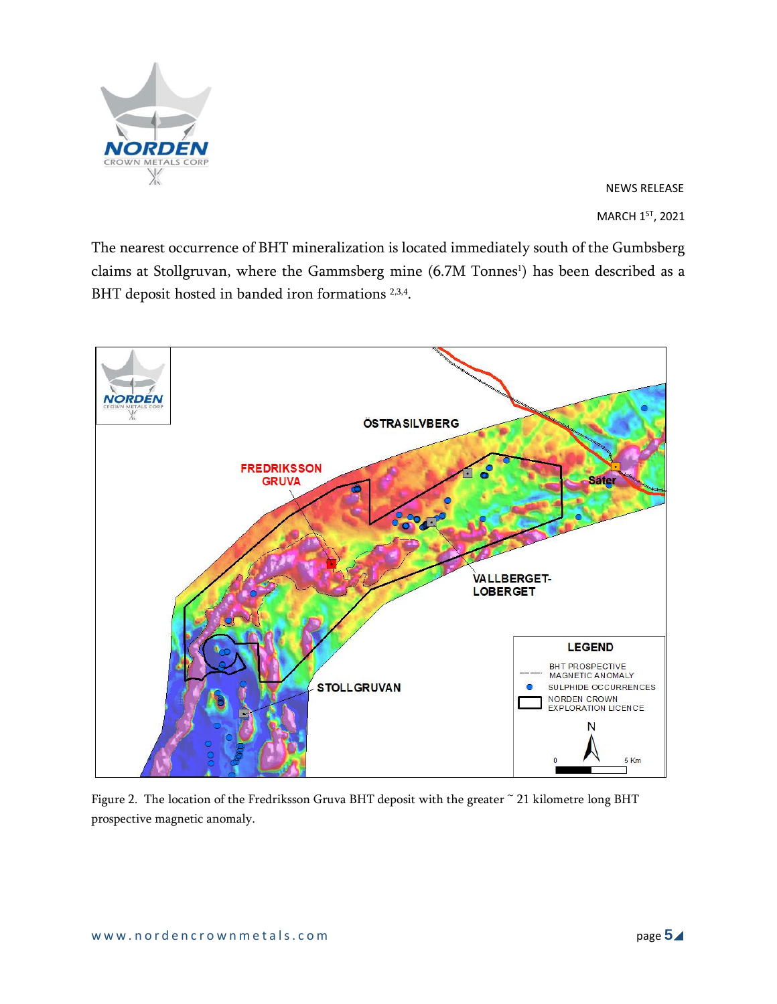

The nearest occurrence of BHT mineralization is located immediately south of the Gumbsberg claims at Stollgruvan, where the Gammsberg mine (6.7M Tonnes<sup>1</sup>) has been described as a BHT deposit hosted in banded iron formations<sup>2,3,4</sup>.



Figure 2. The location of the Fredriksson Gruva BHT deposit with the greater ~ 21 kilometre long BHT prospective magnetic anomaly.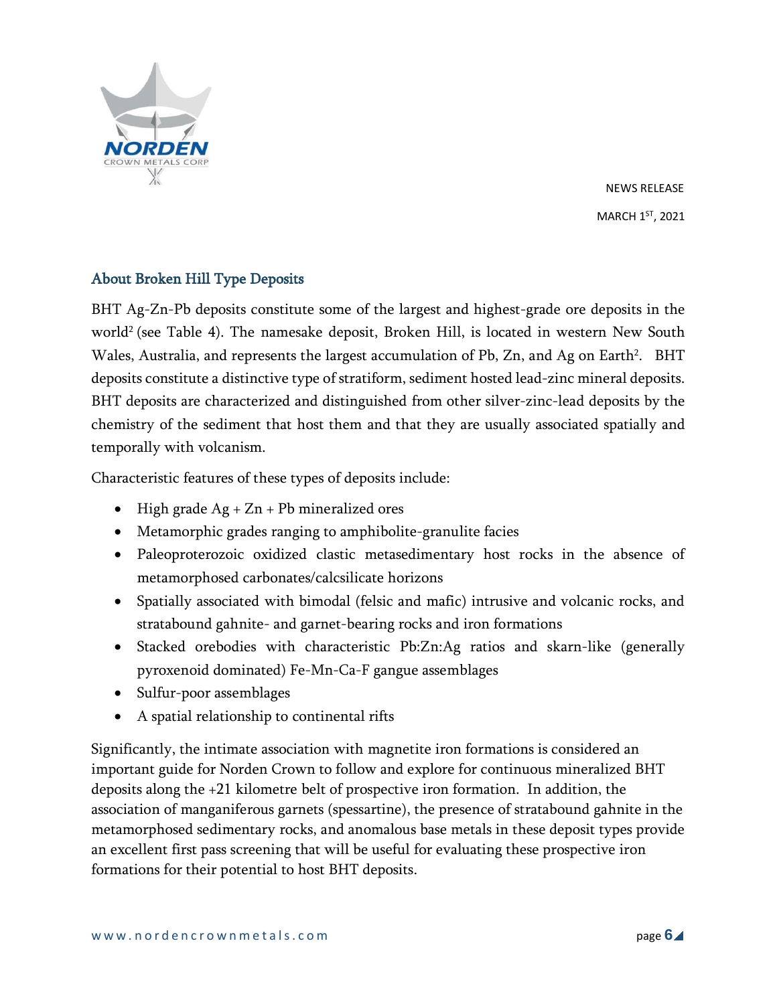

## About Broken Hill Type Deposits

BHT Ag-Zn-Pb deposits constitute some of the largest and highest-grade ore deposits in the world<sup>2</sup> (see Table 4). The namesake deposit, Broken Hill, is located in western New South Wales, Australia, and represents the largest accumulation of Pb, Zn, and Ag on Earth $^2$ .  $\,$  BHT  $\,$ deposits constitute a distinctive type of stratiform, sediment hosted lead-zinc mineral deposits. BHT deposits are characterized and distinguished from other silver-zinc-lead deposits by the chemistry of the sediment that host them and that they are usually associated spatially and temporally with volcanism.

Characteristic features of these types of deposits include:

- High grade  $Ag + Zn + Pb$  mineralized ores
- Metamorphic grades ranging to amphibolite-granulite facies
- Paleoproterozoic oxidized clastic metasedimentary host rocks in the absence of metamorphosed carbonates/calcsilicate horizons
- Spatially associated with bimodal (felsic and mafic) intrusive and volcanic rocks, and stratabound gahnite- and garnet-bearing rocks and iron formations
- Stacked orebodies with characteristic Pb:Zn:Ag ratios and skarn-like (generally pyroxenoid dominated) Fe-Mn-Ca-F gangue assemblages
- Sulfur-poor assemblages
- A spatial relationship to continental rifts

Significantly, the intimate association with magnetite iron formations is considered an important guide for Norden Crown to follow and explore for continuous mineralized BHT deposits along the +21 kilometre belt of prospective iron formation. In addition, the association of manganiferous garnets (spessartine), the presence of stratabound gahnite in the metamorphosed sedimentary rocks, and anomalous base metals in these deposit types provide an excellent first pass screening that will be useful for evaluating these prospective iron formations for their potential to host BHT deposits.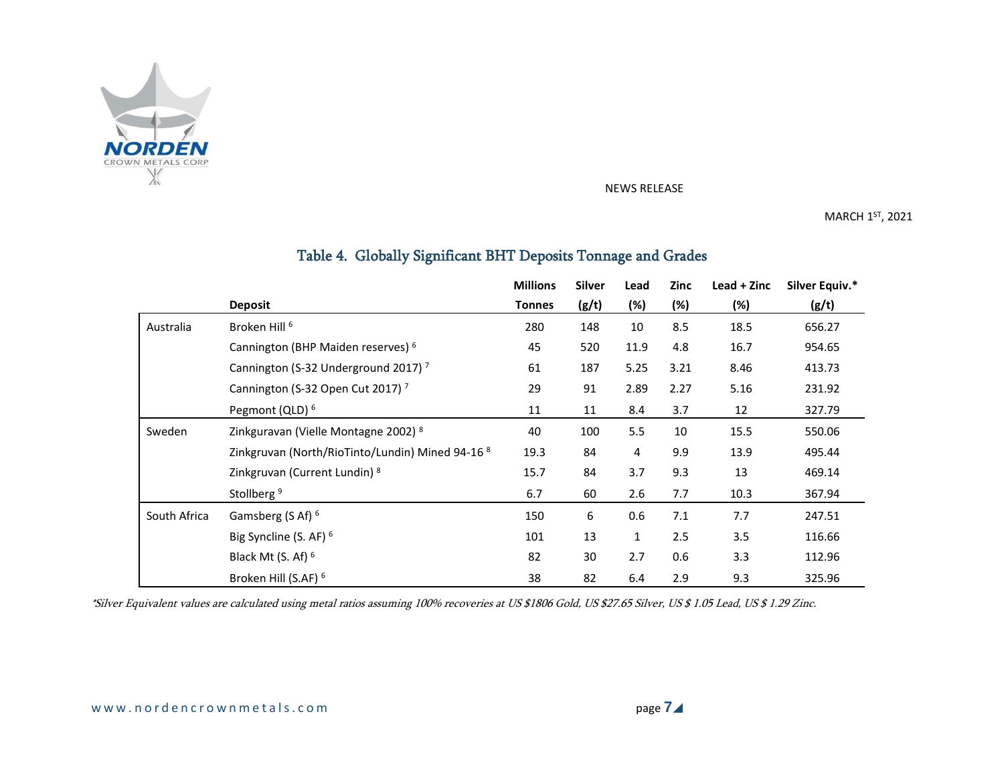

MARCH 1<sup>ST</sup>, 2021

# Table 4. Globally Significant BHT Deposits Tonnage and Grades

|              |                                                  | <b>Millions</b> | <b>Silver</b> | Lead | Zinc | $\text{lead} + \text{Zinc}$ | Silver Equiv.* |
|--------------|--------------------------------------------------|-----------------|---------------|------|------|-----------------------------|----------------|
|              | <b>Deposit</b>                                   | <b>Tonnes</b>   | (g/t)         | (%)  | (%)  | (%)                         | (g/t)          |
| Australia    | Broken Hill <sup>6</sup>                         | 280             | 148           | 10   | 8.5  | 18.5                        | 656.27         |
|              | Cannington (BHP Maiden reserves) <sup>6</sup>    | 45              | 520           | 11.9 | 4.8  | 16.7                        | 954.65         |
|              | Cannington (S-32 Underground 2017) <sup>7</sup>  | 61              | 187           | 5.25 | 3.21 | 8.46                        | 413.73         |
|              | Cannington (S-32 Open Cut 2017) <sup>7</sup>     | 29              | 91            | 2.89 | 2.27 | 5.16                        | 231.92         |
|              | Pegmont (QLD) <sup>6</sup>                       | 11              | 11            | 8.4  | 3.7  | 12                          | 327.79         |
| Sweden       | Zinkguravan (Vielle Montagne 2002) 8             | 40              | 100           | 5.5  | 10   | 15.5                        | 550.06         |
|              | Zinkgruvan (North/RioTinto/Lundin) Mined 94-16 8 | 19.3            | 84            | 4    | 9.9  | 13.9                        | 495.44         |
|              | Zinkgruvan (Current Lundin) 8                    | 15.7            | 84            | 3.7  | 9.3  | 13                          | 469.14         |
|              | Stollberg <sup>9</sup>                           | 6.7             | 60            | 2.6  | 7.7  | 10.3                        | 367.94         |
| South Africa | Gamsberg (S Af) <sup>6</sup>                     | 150             | 6             | 0.6  | 7.1  | 7.7                         | 247.51         |
|              | Big Syncline (S. AF) <sup>6</sup>                | 101             | 13            | 1    | 2.5  | 3.5                         | 116.66         |
|              | Black Mt (S. Af) <sup>6</sup>                    | 82              | 30            | 2.7  | 0.6  | 3.3                         | 112.96         |
|              | Broken Hill (S.AF) <sup>6</sup>                  | 38              | 82            | 6.4  | 2.9  | 9.3                         | 325.96         |

\*Silver Equivalent values are calculated using metal ratios assuming 100% recoveries at US \$1806 Gold, US \$27.65 Silver, US \$ 1.05 Lead, US \$ 1.29 Zinc.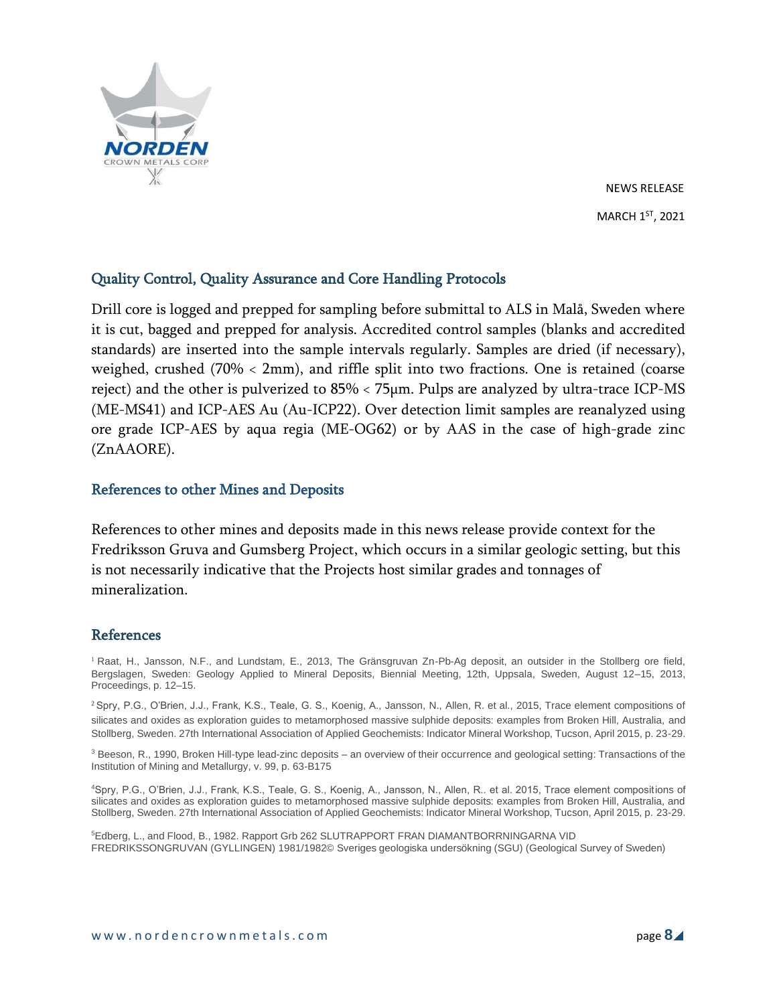

## Quality Control, Quality Assurance and Core Handling Protocols

Drill core is logged and prepped for sampling before submittal to ALS in Malå, Sweden where it is cut, bagged and prepped for analysis. Accredited control samples (blanks and accredited standards) are inserted into the sample intervals regularly. Samples are dried (if necessary), weighed, crushed (70% < 2mm), and riffle split into two fractions. One is retained (coarse reject) and the other is pulverized to 85% < 75µm. Pulps are analyzed by ultra-trace ICP-MS (ME-MS41) and ICP-AES Au (Au-ICP22). Over detection limit samples are reanalyzed using ore grade ICP-AES by aqua regia (ME-OG62) or by AAS in the case of high-grade zinc (ZnAAORE).

### References to other Mines and Deposits

References to other mines and deposits made in this news release provide context for the Fredriksson Gruva and Gumsberg Project, which occurs in a similar geologic setting, but this is not necessarily indicative that the Projects host similar grades and tonnages of mineralization.

### References

<sup>1</sup> Raat, H., Jansson, N.F., and Lundstam, E., 2013, The Gränsgruvan Zn-Pb-Ag deposit, an outsider in the Stollberg ore field, Bergslagen, Sweden: Geology Applied to Mineral Deposits, Biennial Meeting, 12th, Uppsala, Sweden, August 12–15, 2013, Proceedings, p. 12–15.

<sup>2</sup> Spry, P.G., O'Brien, J.J., Frank, K.S., Teale, G. S., Koenig, A., Jansson, N., Allen, R. et al., 2015, Trace element compositions of silicates and oxides as exploration guides to metamorphosed massive sulphide deposits: examples from Broken Hill, Australia, and Stollberg, Sweden. 27th International Association of Applied Geochemists: Indicator Mineral Workshop, Tucson, April 2015, p. 23-29.

<sup>3</sup> Beeson, R., 1990, Broken Hill-type lead-zinc deposits – an overview of their occurrence and geological setting: Transactions of the Institution of Mining and Metallurgy, v. 99, p. 63-B175

<sup>4</sup>Spry, P.G., O'Brien, J.J., Frank, K.S., Teale, G. S., Koenig, A., Jansson, N., Allen, R.. et al. 2015, Trace element compositions of silicates and oxides as exploration guides to metamorphosed massive sulphide deposits: examples from Broken Hill, Australia, and Stollberg, Sweden. 27th International Association of Applied Geochemists: Indicator Mineral Workshop, Tucson, April 2015, p. 23-29.

<sup>5</sup>Edberg, L., and Flood, B., 1982. Rapport Grb 262 SLUTRAPPORT FRAN DIAMANTBORRNINGARNA VID FREDRIKSSONGRUVAN (GYLLINGEN) 1981/1982© Sveriges geologiska undersökning (SGU) (Geological Survey of Sweden)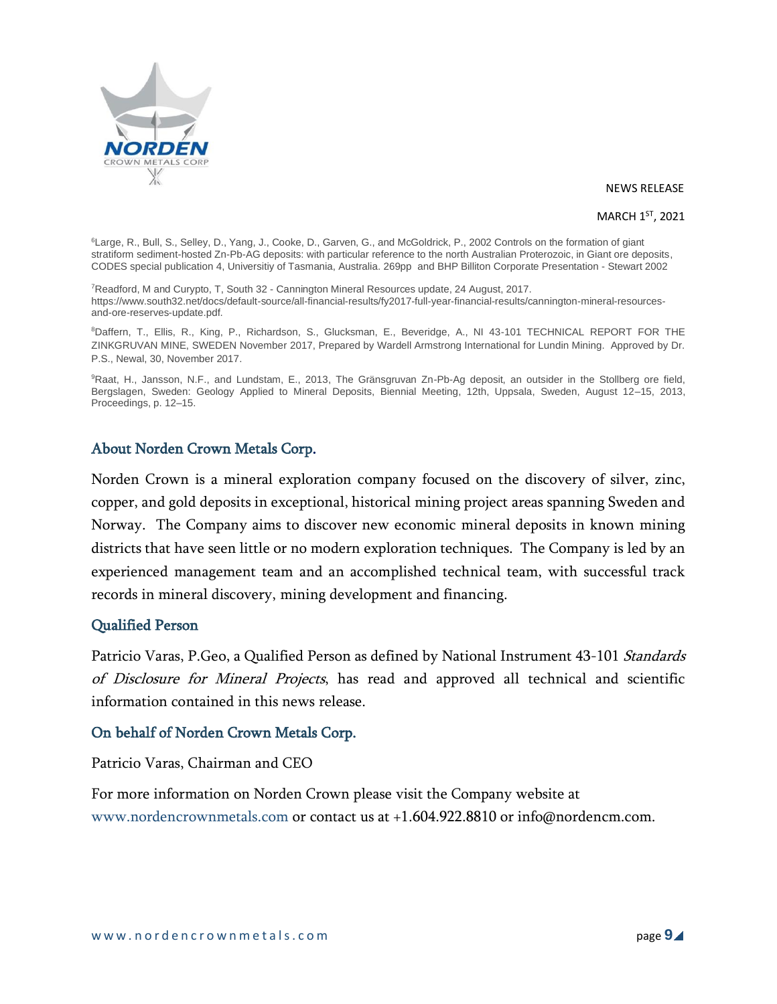

#### MARCH 1<sup>ST</sup>, 2021

<sup>6</sup>Large, R., Bull, S., Selley, D., Yang, J., Cooke, D., Garven, G., and McGoldrick, P., 2002 Controls on the formation of giant stratiform sediment-hosted Zn-Pb-AG deposits: with particular reference to the north Australian Proterozoic, in Giant ore deposits, CODES special publication 4, Universitiy of Tasmania, Australia. 269pp and BHP Billiton Corporate Presentation - Stewart 2002

<sup>7</sup>Readford, M and Curypto, T, South 32 - Cannington Mineral Resources update, 24 August, 2017. https://www.south32.net/docs/default-source/all-financial-results/fy2017-full-year-financial-results/cannington-mineral-resourcesand-ore-reserves-update.pdf.

<sup>8</sup>Daffern, T., Ellis, R., King, P., Richardson, S., Glucksman, E., Beveridge, A., NI 43-101 TECHNICAL REPORT FOR THE ZINKGRUVAN MINE, SWEDEN November 2017, Prepared by Wardell Armstrong International for Lundin Mining. Approved by Dr. P.S., Newal, 30, November 2017.

9Raat, H., Jansson, N.F., and Lundstam, E., 2013, The Gränsgruvan Zn-Pb-Ag deposit, an outsider in the Stollberg ore field, Bergslagen, Sweden: Geology Applied to Mineral Deposits, Biennial Meeting, 12th, Uppsala, Sweden, August 12–15, 2013, Proceedings, p. 12–15.

## About Norden Crown Metals Corp.

Norden Crown is a mineral exploration company focused on the discovery of silver, zinc, copper, and gold deposits in exceptional, historical mining project areas spanning Sweden and Norway. The Company aims to discover new economic mineral deposits in known mining districts that have seen little or no modern exploration techniques. The Company is led by an experienced management team and an accomplished technical team, with successful track records in mineral discovery, mining development and financing.

### Qualified Person

Patricio Varas, P.Geo, a Qualified Person as defined by National Instrument 43-101 Standards of Disclosure for Mineral Projects, has read and approved all technical and scientific information contained in this news release.

## On behalf of Norden Crown Metals Corp.

Patricio Varas, Chairman and CEO

For more information on Norden Crown please visit the Company website at www.nordencrownmetals.com or contact us at +1.604.922.8810 or info@nordencm.com.